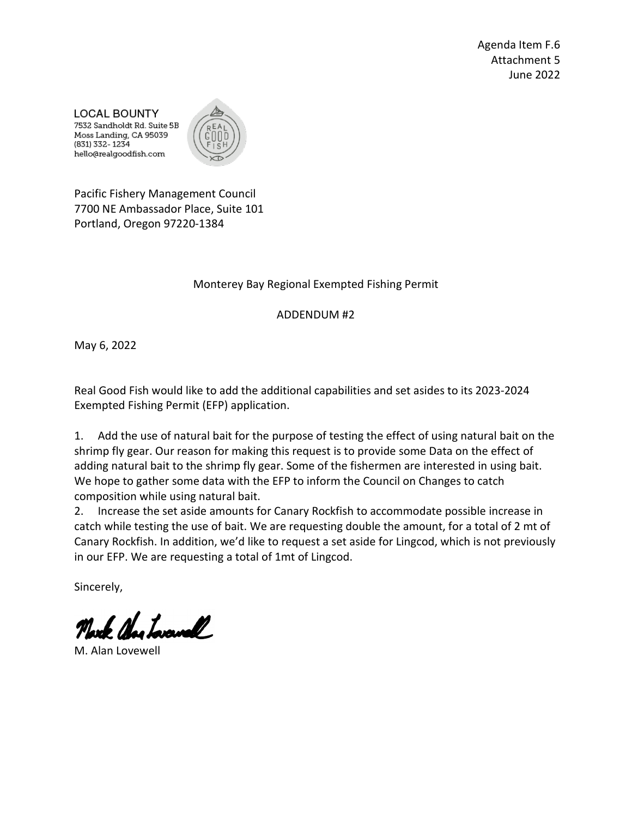Agenda Item F.6 Attachment 5 June 2022

**LOCAL BOUNTY** 7532 Sandholdt Rd. Suite 5B Moss Landing, CA 95039 (831) 332-1234 hello@realgoodfish.com



Pacific Fishery Management Council 7700 NE Ambassador Place, Suite 101 Portland, Oregon 97220-1384

## Monterey Bay Regional Exempted Fishing Permit

ADDENDUM #2

May 6, 2022

Real Good Fish would like to add the additional capabilities and set asides to its 2023-2024 Exempted Fishing Permit (EFP) application.

1. Add the use of natural bait for the purpose of testing the effect of using natural bait on the shrimp fly gear. Our reason for making this request is to provide some Data on the effect of adding natural bait to the shrimp fly gear. Some of the fishermen are interested in using bait. We hope to gather some data with the EFP to inform the Council on Changes to catch composition while using natural bait.

2. Increase the set aside amounts for Canary Rockfish to accommodate possible increase in catch while testing the use of bait. We are requesting double the amount, for a total of 2 mt of Canary Rockfish. In addition, we'd like to request a set aside for Lingcod, which is not previously in our EFP. We are requesting a total of 1mt of Lingcod.

Sincerely,

North Nechanal

M. Alan Lovewell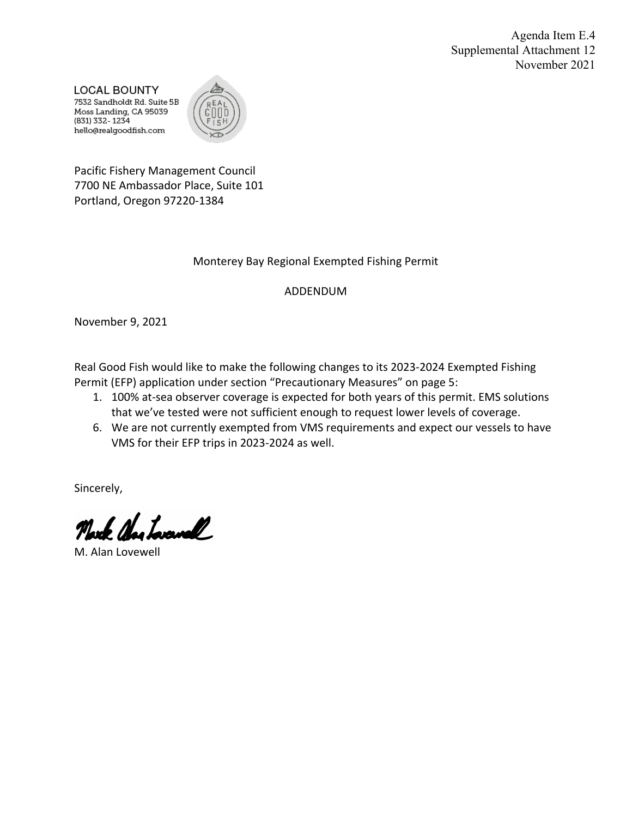Agenda Item E.4 Supplemental Attachment 12 November 2021

**LOCAL BOUNTY** 7532 Sandholdt Rd. Suite 5B Moss Landing, CA 95039 (831) 332-1234 hello@realgoodfish.com



Pacific Fishery Management Council 7700 NE Ambassador Place, Suite 101 Portland, Oregon 97220-1384

#### Monterey Bay Regional Exempted Fishing Permit

#### ADDENDUM

November 9, 2021

Real Good Fish would like to make the following changes to its 2023-2024 Exempted Fishing Permit (EFP) application under section "Precautionary Measures" on page 5:

- 1. 100% at-sea observer coverage is expected for both years of this permit. EMS solutions that we've tested were not sufficient enough to request lower levels of coverage.
- 6. We are not currently exempted from VMS requirements and expect our vessels to have VMS for their EFP trips in 2023-2024 as well.

Sincerely,

Charloravall

M. Alan Lovewell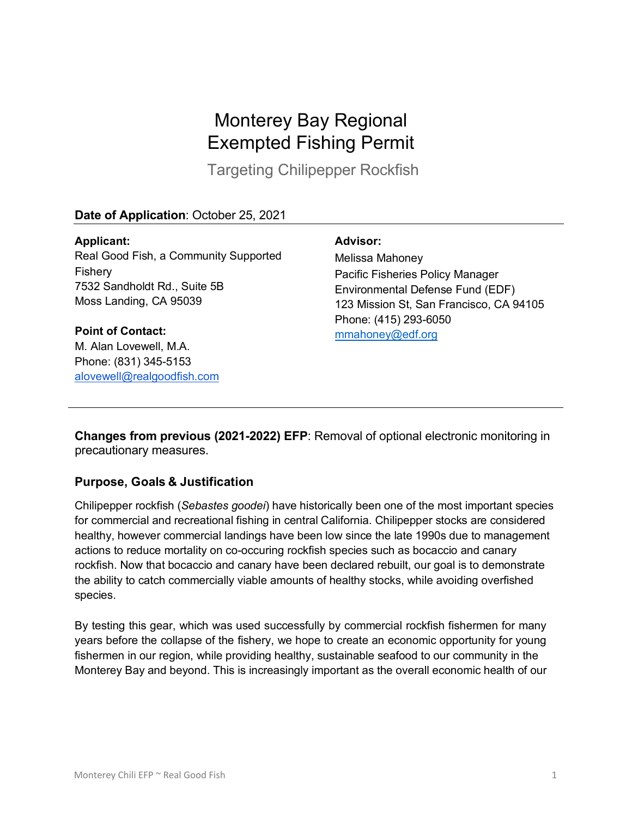# Monterey Bay Regional Exempted Fishing Permit

Targeting Chilipepper Rockfish

## **Date of Application**: October 25, 2021

**Applicant:** Real Good Fish, a Community Supported Fishery 7532 Sandholdt Rd., Suite 5B Moss Landing, CA 95039

**Point of Contact:** M. Alan Lovewell, M.A. Phone: (831) 345-5153 alovewell@realgoodfish.com

#### **Advisor:**

Melissa Mahoney Pacific Fisheries Policy Manager Environmental Defense Fund (EDF) 123 Mission St, San Francisco, CA 94105 Phone: (415) 293-6050 mmahoney@edf.org

**Changes from previous (2021-2022) EFP**: Removal of optional electronic monitoring in precautionary measures.

#### **Purpose, Goals & Justification**

Chilipepper rockfish (*Sebastes goodei*) have historically been one of the most important species for commercial and recreational fishing in central California. Chilipepper stocks are considered healthy, however commercial landings have been low since the late 1990s due to management actions to reduce mortality on co-occuring rockfish species such as bocaccio and canary rockfish. Now that bocaccio and canary have been declared rebuilt, our goal is to demonstrate the ability to catch commercially viable amounts of healthy stocks, while avoiding overfished species.

By testing this gear, which was used successfully by commercial rockfish fishermen for many years before the collapse of the fishery, we hope to create an economic opportunity for young fishermen in our region, while providing healthy, sustainable seafood to our community in the Monterey Bay and beyond. This is increasingly important as the overall economic health of our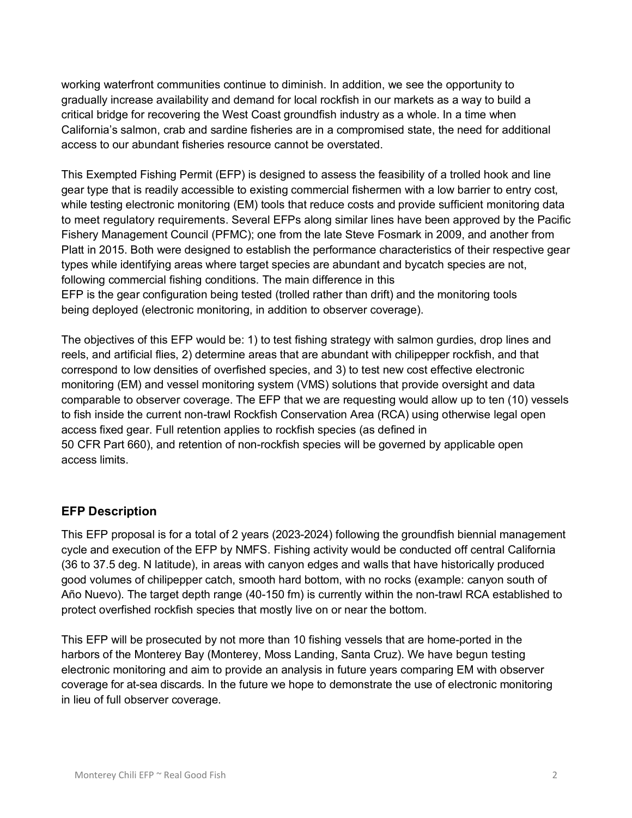working waterfront communities continue to diminish. In addition, we see the opportunity to gradually increase availability and demand for local rockfish in our markets as a way to build a critical bridge for recovering the West Coast groundfish industry as a whole. In a time when California's salmon, crab and sardine fisheries are in a compromised state, the need for additional access to our abundant fisheries resource cannot be overstated.

This Exempted Fishing Permit (EFP) is designed to assess the feasibility of a trolled hook and line gear type that is readily accessible to existing commercial fishermen with a low barrier to entry cost, while testing electronic monitoring (EM) tools that reduce costs and provide sufficient monitoring data to meet regulatory requirements. Several EFPs along similar lines have been approved by the Pacific Fishery Management Council (PFMC); one from the late Steve Fosmark in 2009, and another from Platt in 2015. Both were designed to establish the performance characteristics of their respective gear types while identifying areas where target species are abundant and bycatch species are not, following commercial fishing conditions. The main difference in this EFP is the gear configuration being tested (trolled rather than drift) and the monitoring tools being deployed (electronic monitoring, in addition to observer coverage).

The objectives of this EFP would be: 1) to test fishing strategy with salmon gurdies, drop lines and reels, and artificial flies, 2) determine areas that are abundant with chilipepper rockfish, and that correspond to low densities of overfished species, and 3) to test new cost effective electronic monitoring (EM) and vessel monitoring system (VMS) solutions that provide oversight and data comparable to observer coverage. The EFP that we are requesting would allow up to ten (10) vessels to fish inside the current non-trawl Rockfish Conservation Area (RCA) using otherwise legal open access fixed gear. Full retention applies to rockfish species (as defined in 50 CFR Part 660), and retention of non-rockfish species will be governed by applicable open access limits.

#### **EFP Description**

This EFP proposal is for a total of 2 years (2023-2024) following the groundfish biennial management cycle and execution of the EFP by NMFS. Fishing activity would be conducted off central California (36 to 37.5 deg. N latitude), in areas with canyon edges and walls that have historically produced good volumes of chilipepper catch, smooth hard bottom, with no rocks (example: canyon south of Año Nuevo). The target depth range (40-150 fm) is currently within the non-trawl RCA established to protect overfished rockfish species that mostly live on or near the bottom.

This EFP will be prosecuted by not more than 10 fishing vessels that are home-ported in the harbors of the Monterey Bay (Monterey, Moss Landing, Santa Cruz). We have begun testing electronic monitoring and aim to provide an analysis in future years comparing EM with observer coverage for at-sea discards. In the future we hope to demonstrate the use of electronic monitoring in lieu of full observer coverage.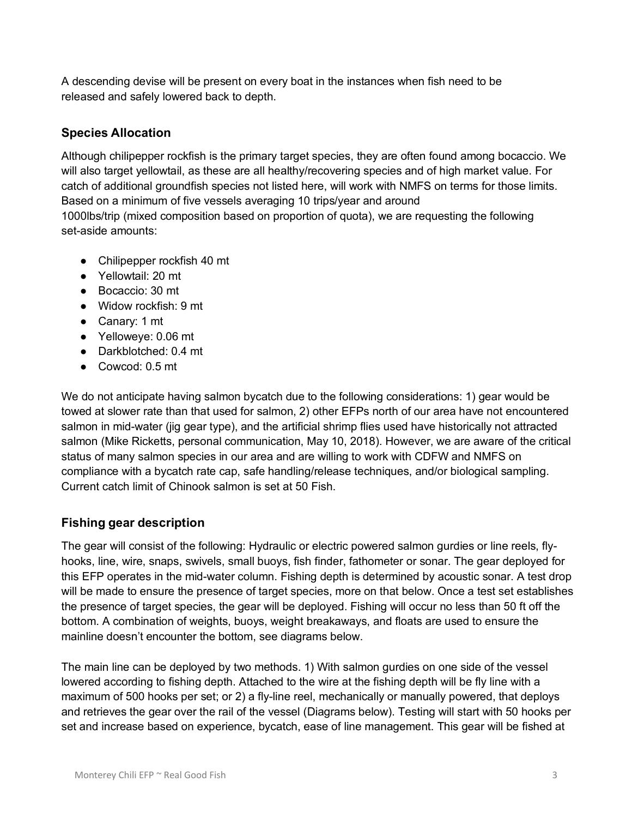A descending devise will be present on every boat in the instances when fish need to be released and safely lowered back to depth.

#### **Species Allocation**

Although chilipepper rockfish is the primary target species, they are often found among bocaccio. We will also target yellowtail, as these are all healthy/recovering species and of high market value. For catch of additional groundfish species not listed here, will work with NMFS on terms for those limits. Based on a minimum of five vessels averaging 10 trips/year and around

1000lbs/trip (mixed composition based on proportion of quota), we are requesting the following set-aside amounts:

- Chilipepper rockfish 40 mt
- Yellowtail: 20 mt
- Bocaccio: 30 mt
- Widow rockfish: 9 mt
- Canary: 1 mt
- Yelloweye: 0.06 mt
- Darkblotched: 0.4 mt
- Cowcod: 0.5 mt

We do not anticipate having salmon bycatch due to the following considerations: 1) gear would be towed at slower rate than that used for salmon, 2) other EFPs north of our area have not encountered salmon in mid-water (jig gear type), and the artificial shrimp flies used have historically not attracted salmon (Mike Ricketts, personal communication, May 10, 2018). However, we are aware of the critical status of many salmon species in our area and are willing to work with CDFW and NMFS on compliance with a bycatch rate cap, safe handling/release techniques, and/or biological sampling. Current catch limit of Chinook salmon is set at 50 Fish.

## **Fishing gear description**

The gear will consist of the following: Hydraulic or electric powered salmon gurdies or line reels, flyhooks, line, wire, snaps, swivels, small buoys, fish finder, fathometer or sonar. The gear deployed for this EFP operates in the mid-water column. Fishing depth is determined by acoustic sonar. A test drop will be made to ensure the presence of target species, more on that below. Once a test set establishes the presence of target species, the gear will be deployed. Fishing will occur no less than 50 ft off the bottom. A combination of weights, buoys, weight breakaways, and floats are used to ensure the mainline doesn't encounter the bottom, see diagrams below.

The main line can be deployed by two methods. 1) With salmon gurdies on one side of the vessel lowered according to fishing depth. Attached to the wire at the fishing depth will be fly line with a maximum of 500 hooks per set; or 2) a fly-line reel, mechanically or manually powered, that deploys and retrieves the gear over the rail of the vessel (Diagrams below). Testing will start with 50 hooks per set and increase based on experience, bycatch, ease of line management. This gear will be fished at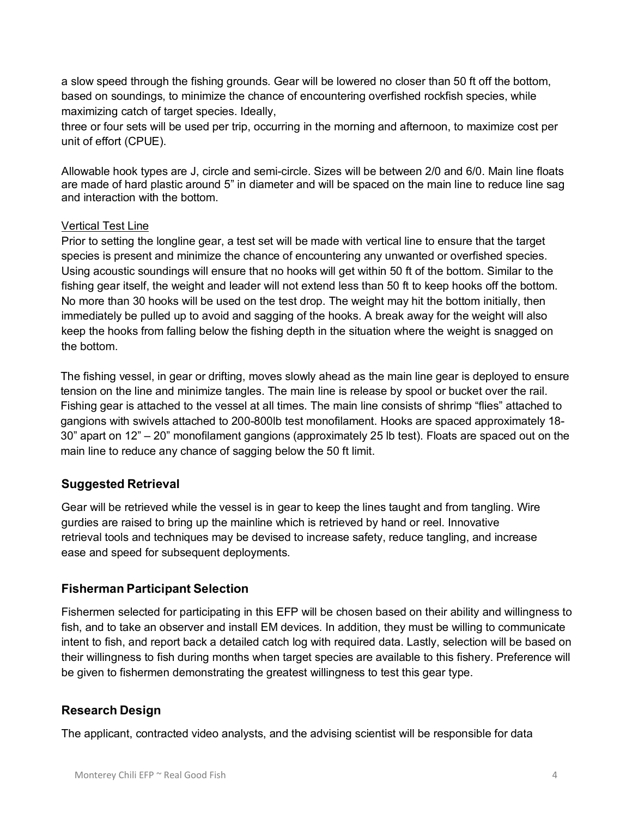a slow speed through the fishing grounds. Gear will be lowered no closer than 50 ft off the bottom, based on soundings, to minimize the chance of encountering overfished rockfish species, while maximizing catch of target species. Ideally,

three or four sets will be used per trip, occurring in the morning and afternoon, to maximize cost per unit of effort (CPUE).

Allowable hook types are J, circle and semi-circle. Sizes will be between 2/0 and 6/0. Main line floats are made of hard plastic around 5" in diameter and will be spaced on the main line to reduce line sag and interaction with the bottom.

#### Vertical Test Line

Prior to setting the longline gear, a test set will be made with vertical line to ensure that the target species is present and minimize the chance of encountering any unwanted or overfished species. Using acoustic soundings will ensure that no hooks will get within 50 ft of the bottom. Similar to the fishing gear itself, the weight and leader will not extend less than 50 ft to keep hooks off the bottom. No more than 30 hooks will be used on the test drop. The weight may hit the bottom initially, then immediately be pulled up to avoid and sagging of the hooks. A break away for the weight will also keep the hooks from falling below the fishing depth in the situation where the weight is snagged on the bottom.

The fishing vessel, in gear or drifting, moves slowly ahead as the main line gear is deployed to ensure tension on the line and minimize tangles. The main line is release by spool or bucket over the rail. Fishing gear is attached to the vessel at all times. The main line consists of shrimp "flies" attached to gangions with swivels attached to 200-800lb test monofilament. Hooks are spaced approximately 18- 30" apart on 12" – 20" monofilament gangions (approximately 25 lb test). Floats are spaced out on the main line to reduce any chance of sagging below the 50 ft limit.

#### **Suggested Retrieval**

Gear will be retrieved while the vessel is in gear to keep the lines taught and from tangling. Wire gurdies are raised to bring up the mainline which is retrieved by hand or reel. Innovative retrieval tools and techniques may be devised to increase safety, reduce tangling, and increase ease and speed for subsequent deployments.

#### **Fisherman Participant Selection**

Fishermen selected for participating in this EFP will be chosen based on their ability and willingness to fish, and to take an observer and install EM devices. In addition, they must be willing to communicate intent to fish, and report back a detailed catch log with required data. Lastly, selection will be based on their willingness to fish during months when target species are available to this fishery. Preference will be given to fishermen demonstrating the greatest willingness to test this gear type.

#### **Research Design**

The applicant, contracted video analysts, and the advising scientist will be responsible for data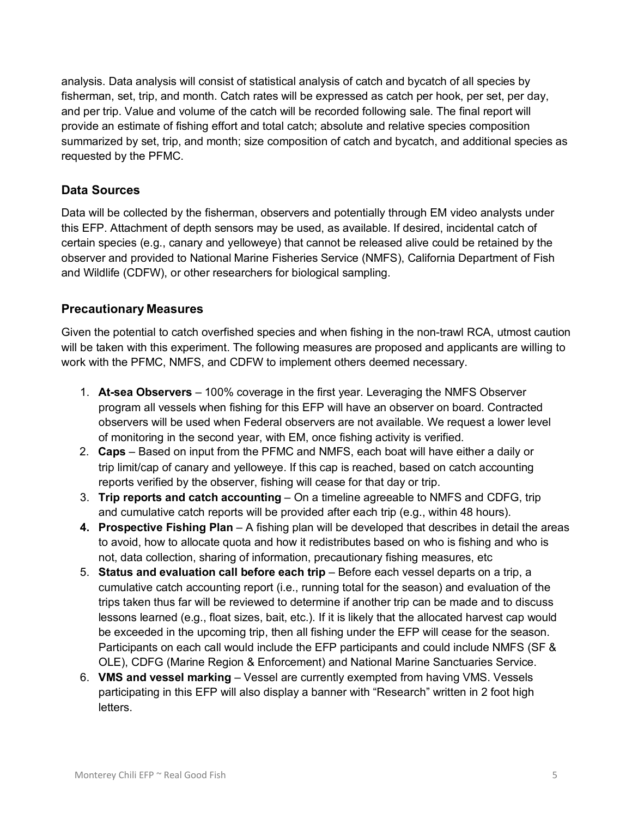analysis. Data analysis will consist of statistical analysis of catch and bycatch of all species by fisherman, set, trip, and month. Catch rates will be expressed as catch per hook, per set, per day, and per trip. Value and volume of the catch will be recorded following sale. The final report will provide an estimate of fishing effort and total catch; absolute and relative species composition summarized by set, trip, and month; size composition of catch and bycatch, and additional species as requested by the PFMC.

#### **Data Sources**

Data will be collected by the fisherman, observers and potentially through EM video analysts under this EFP. Attachment of depth sensors may be used, as available. If desired, incidental catch of certain species (e.g., canary and yelloweye) that cannot be released alive could be retained by the observer and provided to National Marine Fisheries Service (NMFS), California Department of Fish and Wildlife (CDFW), or other researchers for biological sampling.

#### **Precautionary Measures**

Given the potential to catch overfished species and when fishing in the non-trawl RCA, utmost caution will be taken with this experiment. The following measures are proposed and applicants are willing to work with the PFMC, NMFS, and CDFW to implement others deemed necessary.

- 1. **At-sea Observers** 100% coverage in the first year. Leveraging the NMFS Observer program all vessels when fishing for this EFP will have an observer on board. Contracted observers will be used when Federal observers are not available. We request a lower level of monitoring in the second year, with EM, once fishing activity is verified.
- 2. **Caps** Based on input from the PFMC and NMFS, each boat will have either a daily or trip limit/cap of canary and yelloweye. If this cap is reached, based on catch accounting reports verified by the observer, fishing will cease for that day or trip.
- 3. **Trip reports and catch accounting** On a timeline agreeable to NMFS and CDFG, trip and cumulative catch reports will be provided after each trip (e.g., within 48 hours).
- **4. Prospective Fishing Plan** A fishing plan will be developed that describes in detail the areas to avoid, how to allocate quota and how it redistributes based on who is fishing and who is not, data collection, sharing of information, precautionary fishing measures, etc
- 5. **Status and evaluation call before each trip**  Before each vessel departs on a trip, a cumulative catch accounting report (i.e., running total for the season) and evaluation of the trips taken thus far will be reviewed to determine if another trip can be made and to discuss lessons learned (e.g., float sizes, bait, etc.). If it is likely that the allocated harvest cap would be exceeded in the upcoming trip, then all fishing under the EFP will cease for the season. Participants on each call would include the EFP participants and could include NMFS (SF & OLE), CDFG (Marine Region & Enforcement) and National Marine Sanctuaries Service.
- 6. **VMS and vessel marking**  Vessel are currently exempted from having VMS. Vessels participating in this EFP will also display a banner with "Research" written in 2 foot high letters.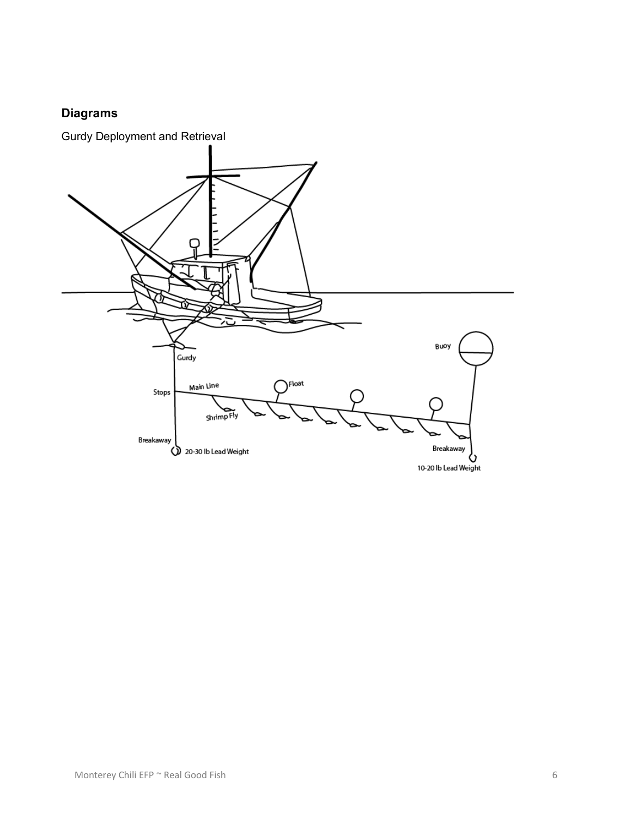# **Diagrams**

Gurdy Deployment and Retrieval